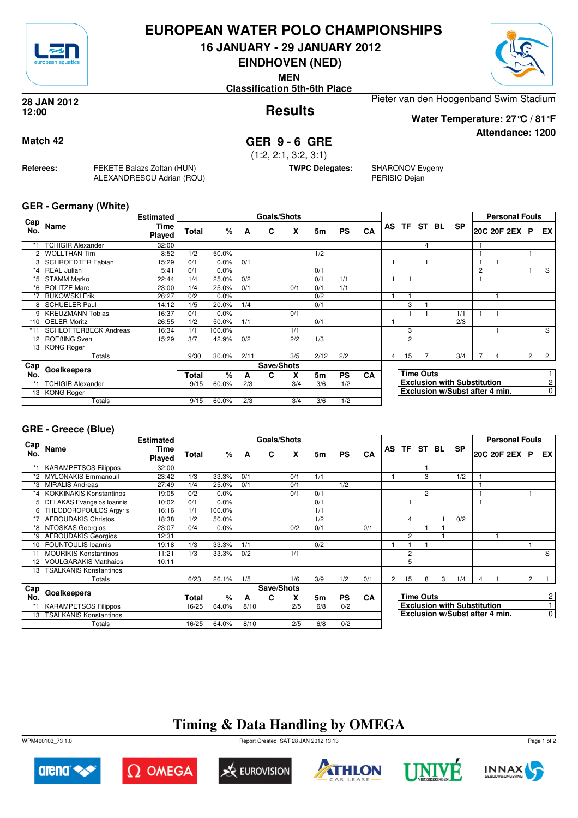

### **EUROPEAN WATER POLO CHAMPIONSHIPS**

**16 JANUARY - 29 JANUARY 2012**

**EINDHOVEN (NED)**

**MEN**

**Classification 5th-6th Place**

**Results 28 JAN 2012 12:00**



**Water Temperature: 27°C / 81°F**

**Attendance: 1200**

### **Match 42 GER 9 - 6 GRE**

(1:2, 2:1, 3:2, 3:1)

**TWPC Delegates:** SHARONOV Evgeny PERISIC Dejan

**GER - Germany (White)**

**Referees:** FEKETE Balazs Zoltan (HUN)

ALEXANDRESCU Adrian (ROU)

|            |                              | <b>Estimated</b>      |              |        |      | Goals/Shots |     |                |           |           |   |                |                  |                                    |                | <b>Personal Fouls</b> |                |                |
|------------|------------------------------|-----------------------|--------------|--------|------|-------------|-----|----------------|-----------|-----------|---|----------------|------------------|------------------------------------|----------------|-----------------------|----------------|----------------|
| Cap<br>No. | Name                         | Time<br><b>Played</b> | Total        | %      | A    | C           | X   | 5m             | <b>PS</b> | CA        |   |                | AS TF ST BL      | <b>SP</b>                          |                | 20C 20F 2EX P         |                | EX I           |
|            | <b>TCHIGIR Alexander</b>     | 32:00                 |              |        |      |             |     |                |           |           |   |                | 4                |                                    |                |                       |                |                |
| 2          | <b>WOLLTHAN Tim</b>          | 8:52                  | 1/2          | 50.0%  |      |             |     | 1/2            |           |           |   |                |                  |                                    |                |                       |                |                |
| 3          | <b>SCHROEDTER Fabian</b>     | 15:29                 | 0/1          | 0.0%   | 0/1  |             |     |                |           |           |   |                |                  |                                    |                |                       |                |                |
| $*_{4}$    | <b>REAL Julian</b>           | 5:41                  | 0/1          | 0.0%   |      |             |     | 0/1            |           |           |   |                |                  |                                    | $\overline{c}$ |                       |                | S              |
| *5         | <b>STAMM Marko</b>           | 22:44                 | 1/4          | 25.0%  | 0/2  |             |     | 0/1            | 1/1       |           |   |                |                  |                                    |                |                       |                |                |
| *6         | POLITZE Marc                 | 23:00                 | 1/4          | 25.0%  | 0/1  |             | 0/1 | 0/1            | 1/1       |           |   |                |                  |                                    |                |                       |                |                |
| $*7$       | <b>BUKOWSKI Erik</b>         | 26:27                 | 0/2          | 0.0%   |      |             |     | 0/2            |           |           |   |                |                  |                                    |                |                       |                |                |
| 8          | <b>SCHUELER Paul</b>         | 14:12                 | 1/5          | 20.0%  | 1/4  |             |     | 0/1            |           |           |   | 3              |                  |                                    |                |                       |                |                |
| 9          | <b>KREUZMANN Tobias</b>      | 16:37                 | 0/1          | 0.0%   |      |             | 0/1 |                |           |           |   |                |                  | 1/1                                |                |                       |                |                |
| $*10$      | <b>OELER Moritz</b>          | 26:55                 | 1/2          | 50.0%  | 1/1  |             |     | 0/1            |           |           |   |                |                  | 2/3                                |                |                       |                |                |
| *11        | <b>SCHLOTTERBECK Andreas</b> | 16:34                 | 1/1          | 100.0% |      |             | 1/1 |                |           |           |   | 3              |                  |                                    |                |                       |                | S              |
| 12         | ROEBING Sven                 | 15:29                 | 3/7          | 42.9%  | 0/2  |             | 2/2 | 1/3            |           |           |   | $\overline{2}$ |                  |                                    |                |                       |                |                |
| 13         | <b>KONG Roger</b>            |                       |              |        |      |             |     |                |           |           |   |                |                  |                                    |                |                       |                |                |
|            | Totals                       |                       | 9/30         | 30.0%  | 2/11 |             | 3/5 | 2/12           | 2/2       |           | 4 | 15             |                  | 3/4                                | 7              | 4                     | $\overline{2}$ | $\overline{2}$ |
| Cap        | Goalkeepers                  |                       |              |        |      | Save/Shots  |     |                |           |           |   |                |                  |                                    |                |                       |                |                |
| No.        |                              |                       | <b>Total</b> | %      | A    | C           | X   | 5 <sub>m</sub> | <b>PS</b> | <b>CA</b> |   |                | <b>Time Outs</b> |                                    |                |                       |                |                |
| *1         | <b>TCHIGIR Alexander</b>     |                       | 9/15         | 60.0%  | 2/3  |             | 3/4 | 3/6            | 1/2       |           |   |                |                  | <b>Exclusion with Substitution</b> |                |                       |                | $\overline{c}$ |
| 13         | <b>KONG Roger</b>            |                       |              |        |      |             |     |                |           |           |   |                |                  | Exclusion w/Subst after 4 min.     |                |                       |                | $\overline{0}$ |
|            | Totals                       |                       | 9/15         | 60.0%  | 2/3  |             | 3/4 | 3/6            | 1/2       |           |   |                |                  |                                    |                |                       |                |                |

#### **GRE - Greece (Blue)**

|            |                                | <b>Estimated</b>      |       |        |      | Goals/Shots |     |     |           |           |                |                |                  |    |                                    |   | <b>Personal Fouls</b>          |                |                |
|------------|--------------------------------|-----------------------|-------|--------|------|-------------|-----|-----|-----------|-----------|----------------|----------------|------------------|----|------------------------------------|---|--------------------------------|----------------|----------------|
| Cap<br>No. | Name                           | Time<br><b>Played</b> | Total | %      | A    | C           | x   | 5m  | <b>PS</b> | CA        |                | AS TF ST       |                  | BL | <b>SP</b>                          |   | 20C 20F 2EX P                  |                | EX I           |
|            | <b>KARAMPETSOS Filippos</b>    | 32:00                 |       |        |      |             |     |     |           |           |                |                |                  |    |                                    |   |                                |                |                |
| *2         | <b>MYLONAKIS Emmanouil</b>     | 23:42                 | 1/3   | 33.3%  | 0/1  |             | 0/1 | 1/1 |           |           |                |                | 3                |    | 1/2                                |   |                                |                |                |
| *3         | <b>MIRALIS Andreas</b>         | 27:49                 | 1/4   | 25.0%  | 0/1  |             | 0/1 |     | 1/2       |           |                |                |                  |    |                                    |   |                                |                |                |
| *4         | <b>KOKKINAKIS Konstantinos</b> | 19:05                 | 0/2   | 0.0%   |      |             | 0/1 | 0/1 |           |           |                |                | $\overline{c}$   |    |                                    | 1 |                                |                |                |
| 5          | DELAKAS Evangelos Ioannis      | 10:02                 | 0/1   | 0.0%   |      |             |     | 0/1 |           |           |                |                |                  |    |                                    | 1 |                                |                |                |
| 6          | THEODOROPOULOS Argyris         | 16:16                 | 1/1   | 100.0% |      |             |     | 1/1 |           |           |                |                |                  |    |                                    |   |                                |                |                |
| *7         | <b>AFROUDAKIS Christos</b>     | 18:38                 | 1/2   | 50.0%  |      |             |     | 1/2 |           |           |                | 4              |                  |    | 0/2                                |   |                                |                |                |
| *8         | NTOSKAS Georgios               | 23:07                 | 0/4   | 0.0%   |      |             | 0/2 | 0/1 |           | 0/1       |                |                |                  |    |                                    |   |                                |                |                |
| *9         | <b>AFROUDAKIS Georgios</b>     | 12:31                 |       |        |      |             |     |     |           |           |                | $\overline{c}$ |                  |    |                                    |   |                                |                |                |
| 10         | <b>FOUNTOULIS Ioannis</b>      | 19:18                 | 1/3   | 33.3%  | 1/1  |             |     | 0/2 |           |           |                |                |                  |    |                                    |   |                                |                |                |
|            | <b>MOURIKIS Konstantinos</b>   | 11:21                 | 1/3   | 33.3%  | 0/2  |             | 1/1 |     |           |           |                | 2              |                  |    |                                    |   |                                |                | S              |
| 12         | <b>VOULGARAKIS Matthaios</b>   | 10:11                 |       |        |      |             |     |     |           |           |                | 5              |                  |    |                                    |   |                                |                |                |
| 13         | <b>TSALKANIS Konstantinos</b>  |                       |       |        |      |             |     |     |           |           |                |                |                  |    |                                    |   |                                |                |                |
|            | Totals                         |                       | 6/23  | 26.1%  | 1/5  |             | 1/6 | 3/9 | 1/2       | 0/1       | $\overline{2}$ | 15             | 8                | 3  | 1/4                                | 4 |                                | $\overline{2}$ |                |
| Cap        |                                |                       |       |        |      | Save/Shots  |     |     |           |           |                |                |                  |    |                                    |   |                                |                |                |
| No.        | Goalkeepers                    |                       | Total | $\%$   | A    | С           | x   | 5m  | <b>PS</b> | <b>CA</b> |                |                | <b>Time Outs</b> |    |                                    |   |                                |                | 2 <sup>1</sup> |
|            | <b>KARAMPETSOS Filippos</b>    |                       | 16/25 | 64.0%  | 8/10 |             | 2/5 | 6/8 | 0/2       |           |                |                |                  |    | <b>Exclusion with Substitution</b> |   |                                |                |                |
| 13         | <b>TSALKANIS Konstantinos</b>  |                       |       |        |      |             |     |     |           |           |                |                |                  |    |                                    |   | Exclusion w/Subst after 4 min. |                | $\overline{0}$ |
|            | Totals                         |                       | 16/25 | 64.0%  | 8/10 |             | 2/5 | 6/8 | 0/2       |           |                |                |                  |    |                                    |   |                                |                |                |

# **Timing & Data Handling by OMEGA**

WPM400103\_73 1.0 Report Created SAT 28 JAN 2012 13:13













Page 1 of 2